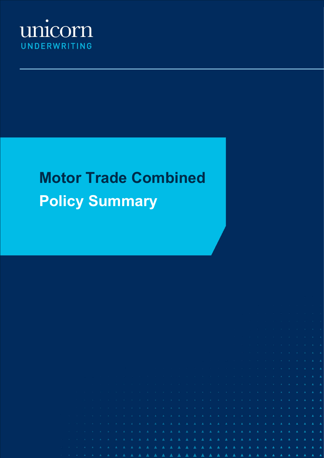

# **Motor Trade Combined Policy Summary**

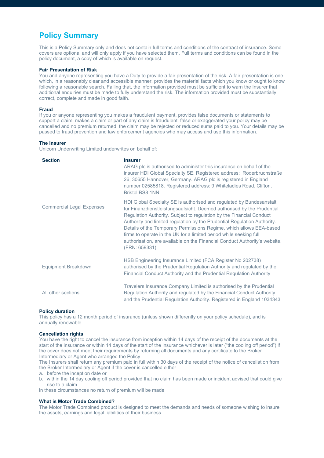## **Policy Summary**

This is a Policy Summary only and does not contain full terms and conditions of the contract of insurance. Some covers are optional and will only apply if you have selected them. Full terms and conditions can be found in the policy document, a copy of which is available on request.

#### **Fair Presentation of Risk**

You and anyone representing you have a Duty to provide a fair presentation of the risk. A fair presentation is one which, in a reasonably clear and accessible manner, provides the material facts which you know or ought to know following a reasonable search. Failing that, the information provided must be sufficient to warn the Insurer that additional enquiries must be made to fully understand the risk. The information provided must be substantially correct, complete and made in good faith.

#### **Fraud**

If you or anyone representing you makes a fraudulent payment, provides false documents or statements to support a claim, makes a claim or part of any claim is fraudulent, false or exaggerated your policy may be cancelled and no premium returned, the claim may be rejected or reduced sums paid to you. Your details may be passed to fraud prevention and law enforcement agencies who may access and use this information.

#### **The Insurer**

Unicorn Underwriting Limited underwrites on behalf of:

| <b>Section</b>                   | <b>Insurer</b><br>ARAG plc is authorised to administer this insurance on behalf of the<br>insurer HDI Global Specialty SE. Registered address: Roderbruchstraße<br>26, 30655 Hannover, Germany. ARAG plc is registered in England<br>number 02585818. Registered address: 9 Whiteladies Road, Clifton,<br>Bristol BS8 1NN.                                                                                                                                                                                                                      |
|----------------------------------|-------------------------------------------------------------------------------------------------------------------------------------------------------------------------------------------------------------------------------------------------------------------------------------------------------------------------------------------------------------------------------------------------------------------------------------------------------------------------------------------------------------------------------------------------|
| <b>Commercial Legal Expenses</b> | HDI Global Specialty SE is authorised and regulated by Bundesanstalt<br>für Finanzdienstleistungsaufsicht. Deemed authorised by the Prudential<br>Regulation Authority. Subject to regulation by the Financial Conduct<br>Authority and limited regulation by the Prudential Regulation Authority.<br>Details of the Temporary Permissions Regime, which allows EEA-based<br>firms to operate in the UK for a limited period while seeking full<br>authorisation, are available on the Financial Conduct Authority's website.<br>(FRN: 659331). |
| Equipment Breakdown              | HSB Engineering Insurance Limited (FCA Register No 202738)<br>authorised by the Prudential Regulation Authority and regulated by the<br>Financial Conduct Authority and the Prudential Regulation Authority                                                                                                                                                                                                                                                                                                                                     |
| All other sections               | Travelers Insurance Company Limited is authorised by the Prudential<br>Regulation Authority and regulated by the Financial Conduct Authority<br>and the Prudential Regulation Authority. Registered in England 1034343                                                                                                                                                                                                                                                                                                                          |

#### **Policy duration**

This policy has a 12 month period of insurance (unless shown differently on your policy schedule), and is annually renewable.

#### **Cancellation rights**

You have the right to cancel the insurance from inception within 14 days of the receipt of the documents at the start of the insurance or within 14 days of the start of the insurance whichever is later ("the cooling off period") if the cover does not meet their requirements by returning all documents and any certificate to the Broker Intermediary or Agent who arranged the Policy

The Insurers shall return any premium paid in full within 30 days of the receipt of the notice of cancellation from the Broker Intermediary or Agent if the cover is cancelled either

- a. before the inception date or
- b. within the 14 day cooling off period provided that no claim has been made or incident advised that could give rise to a claim

in these circumstances no return of premium will be made

#### **What is Motor Trade Combined?**

The Motor Trade Combined product is designed to meet the demands and needs of someone wishing to insure the assets, earnings and legal liabilities of their business.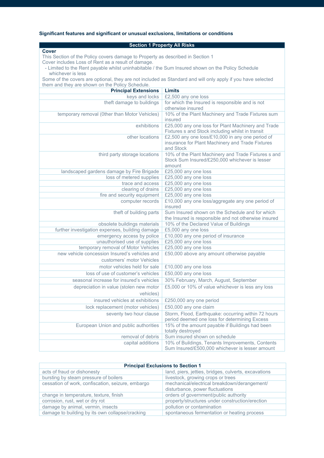## **Significant features and significant or unusual exclusions, limitations or conditions**

## **Section 1 Property All Risks**

**Cover** This Section of the Policy covers damage to Property as described in Section 1 Cover includes Loss of Rent as a result of damage.

 - Limited to the Rent payable whilst uninhabitable / the Sum Insured shown on the Policy Schedule whichever is less

Some of the covers are optional, they are not included as Standard and will only apply if you have selected them and they are shown on the Policy Schedule.

| <b>Principal Extensions</b>                                                | <b>Limits</b>                                                                                                     |
|----------------------------------------------------------------------------|-------------------------------------------------------------------------------------------------------------------|
| keys and locks                                                             | £2,500 any one loss                                                                                               |
| theft damage to buildings                                                  | for which the Insured is responsible and is not<br>otherwise insured                                              |
| temporary removal (Other than Motor Vehicles)                              | 10% of the Plant Machinery and Trade Fixtures sum<br>insured                                                      |
| exhibitions                                                                | £25,000 any one loss for Plant Machinery and Trade<br>Fixtures s and Stock including whilst in transit            |
| other locations                                                            | £2,500 any one loss/£10,000 in any one period of<br>insurance for Plant Machinery and Trade Fixtures<br>and Stock |
| third party storage locations                                              | 10% of the Plant Machinery and Trade Fixtures s and<br>Stock Sum Insured/£250,000 whichever is lesser<br>amount   |
| landscaped gardens damage by Fire Brigade                                  | £25,000 any one loss                                                                                              |
| loss of metered supplies                                                   | £25,000 any one loss                                                                                              |
| trace and access                                                           | £25,000 any one loss                                                                                              |
| clearing of drains                                                         | £25,000 any one loss                                                                                              |
| fire and security equipment                                                | £25,000 any one loss                                                                                              |
| computer records                                                           | £10,000 any one loss/aggregate any one period of<br>insured                                                       |
| theft of building parts                                                    | Sum Insured shown on the Schedule and for which<br>the Insured is responsible and not otherwise insured           |
| obsolete buildings materials                                               | 10% of the Declared Value of Buildings                                                                            |
| further investigation expenses, building damage                            | £5,000 any one loss                                                                                               |
| emergency access by police                                                 | £10,000 any one period of insurance                                                                               |
| unauthorised use of supplies                                               | £25,000 any one loss                                                                                              |
| temporary removal of Motor Vehicles                                        | £25,000 any one loss                                                                                              |
| new vehicle concession Insured's vehicles and<br>customers' motor Vehicles | £50,000 above any amount otherwise payable                                                                        |
| motor vehicles held for sale                                               | £10,000 any one loss                                                                                              |
| loss of use of customer's vehicles                                         | £50,000 any one loss                                                                                              |
| seasonal increase for insured's vehicles                                   | 30% February, March, August, September                                                                            |
| depreciation in value (stolen new motor<br>vehicles)                       | £5,000 or 10% of value whichever is less any loss                                                                 |
| insured vehicles at exhibitions                                            | £250,000 any one period                                                                                           |
| lock replacement (motor vehicles)                                          | £50,000 any one claim                                                                                             |
| seventy two hour clause                                                    | Storm, Flood, Earthquake: occurring within 72 hours                                                               |
|                                                                            | period deemed one loss for determining Excess                                                                     |
| European Union and public authorities                                      | 15% of the amount payable if Buildings had been<br>totally destroyed                                              |
| removal of debris                                                          | Sum insured shown on schedule                                                                                     |
| capital additions                                                          | 10% of Buildings, Tenants Improvements, Contents<br>Sum Insured/£500,000 whichever is lesser amount               |

| <b>Principal Exclusions to Section 1</b>          |                                                      |
|---------------------------------------------------|------------------------------------------------------|
| acts of fraud or dishonesty                       | land, piers, jetties, bridges, culverts, excavations |
| bursting by steam pressure of boilers             | livestock, growing crops or trees                    |
| cessation of work, confiscation, seizure, embargo | mechanical/electrical breakdown/derangement/         |
|                                                   | disturbance, power fluctuations                      |
| change in temperature, texture, finish            | orders of government/public authority                |
| corrosion, rust, wet or dry rot                   | property/structures under construction/erection      |
| damage by animal, vermin, insects                 | pollution or contamination                           |
| damage to building by its own collapse/cracking   | spontaneous fermentation or heating process          |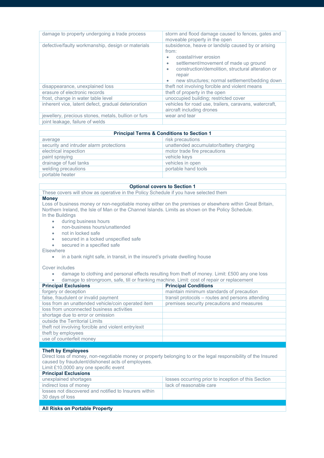| damage to property undergoing a trade process       | storm and flood damage caused to fences, gates and<br>moveable property in the open                                                                                                                                                                         |
|-----------------------------------------------------|-------------------------------------------------------------------------------------------------------------------------------------------------------------------------------------------------------------------------------------------------------------|
| defective/faulty workmanship, design or materials   | subsidence, heave or landslip caused by or arising<br>from:<br>coastal/river erosion<br>settlement/movement of made up ground<br>construction/demolition, structural alteration or<br>repair<br>new structures; normal settlement/bedding down<br>$\bullet$ |
|                                                     |                                                                                                                                                                                                                                                             |
| disappearance, unexplained loss                     | theft not involving forcible and violent means                                                                                                                                                                                                              |
| erasure of electronic records                       | theft of property in the open                                                                                                                                                                                                                               |
| frost, change in water table level                  | unoccupied building; restricted cover                                                                                                                                                                                                                       |
| inherent vice, latent defect, gradual deterioration | vehicles for road use, trailers, caravans, watercraft,<br>aircraft including drones                                                                                                                                                                         |
| jewellery, precious stones, metals, bullion or furs | wear and tear                                                                                                                                                                                                                                               |
| joint leakage, failure of welds                     |                                                                                                                                                                                                                                                             |

| <b>Principal Terms &amp; Conditions to Section 1</b> |                                         |  |
|------------------------------------------------------|-----------------------------------------|--|
| average                                              | risk precautions                        |  |
| security and intruder alarm protections              | unattended accumulator/battery charging |  |
| electrical inspection                                | motor trade fire precautions            |  |
| paint spraying                                       | vehicle keys                            |  |
| drainage of fuel tanks                               | vehicles in open                        |  |
| welding precautions                                  | portable hand tools                     |  |
| portable heater                                      |                                         |  |

#### **Optional covers to Section 1**

These covers will show as operative in the Policy Schedule if you have selected them

#### **Money**

Loss of business money or non-negotiable money either on the premises or elsewhere within Great Britain, Northern Ireland, the Isle of Man or the Channel Islands. Limits as shown on the Policy Schedule. In the Buildings

- during business hours
- non-business hours/unattended
- not in locked safe
- secured in a locked unspecified safe
- secured in a specified safe

**Elsewhere** 

• in a bank night safe, in transit, in the insured's private dwelling house

Cover includes

- damage to clothing and personal effects resulting from theft of money. Limit: £500 any one loss
- damage to strongroom, safe, till or franking machine. Limit: cost of repair or replacement

| <b>Principal Exclusions</b>                         | <b>Principal Conditions</b>                      |
|-----------------------------------------------------|--------------------------------------------------|
| forgery or deception                                | maintain minimum standards of precaution         |
| false, fraudulent or invalid payment                | transit protocols - routes and persons attending |
| loss from an unattended vehicle/coin operated item  | premises security precautions and measures       |
| loss from unconnected business activities           |                                                  |
| shortage due to error or omission                   |                                                  |
| outside the Territorial Limits                      |                                                  |
| theft not involving forcible and violent entry/exit |                                                  |
| theft by employees                                  |                                                  |
| use of counterfeit money                            |                                                  |
|                                                     |                                                  |
|                                                     |                                                  |

#### **Theft by Employees**

Direct loss of money, non-negotiable money or property belonging to or the legal responsibility of the Insured caused by fraudulent/dishonest acts of employees.

|  | Limit £10,0000 any one specific event |  |
|--|---------------------------------------|--|
|  |                                       |  |

| <b>Principal Exclusions</b>                                              |                                                     |
|--------------------------------------------------------------------------|-----------------------------------------------------|
| unexplained shortages                                                    | losses occurring prior to inception of this Section |
| indirect loss of money                                                   | lack of reasonable care                             |
| losses not discovered and notified to Insurers within<br>30 days of loss |                                                     |
|                                                                          |                                                     |
| <b>All Risks on Portable Property</b>                                    |                                                     |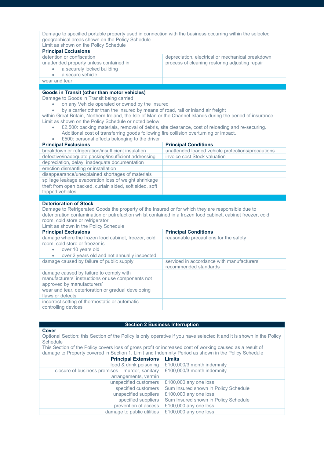| Limit as shown on the Policy Schedule<br><b>Principal Exclusions</b>                                                                                                                                                                                                                                                                                                                                                                                                                                                                 |                                                   |                                                                                                  |  |  |
|--------------------------------------------------------------------------------------------------------------------------------------------------------------------------------------------------------------------------------------------------------------------------------------------------------------------------------------------------------------------------------------------------------------------------------------------------------------------------------------------------------------------------------------|---------------------------------------------------|--------------------------------------------------------------------------------------------------|--|--|
| detention or confiscation                                                                                                                                                                                                                                                                                                                                                                                                                                                                                                            | depreciation, electrical or mechanical breakdown  |                                                                                                  |  |  |
| unattended property unless contained in                                                                                                                                                                                                                                                                                                                                                                                                                                                                                              | process of cleaning restoring adjusting repair    |                                                                                                  |  |  |
| a securely locked building                                                                                                                                                                                                                                                                                                                                                                                                                                                                                                           |                                                   |                                                                                                  |  |  |
| a secure vehicle                                                                                                                                                                                                                                                                                                                                                                                                                                                                                                                     |                                                   |                                                                                                  |  |  |
| wear and tear                                                                                                                                                                                                                                                                                                                                                                                                                                                                                                                        |                                                   |                                                                                                  |  |  |
|                                                                                                                                                                                                                                                                                                                                                                                                                                                                                                                                      |                                                   |                                                                                                  |  |  |
| Goods in Transit (other than motor vehicles)                                                                                                                                                                                                                                                                                                                                                                                                                                                                                         |                                                   |                                                                                                  |  |  |
| Damage to Goods in Transit being carried                                                                                                                                                                                                                                                                                                                                                                                                                                                                                             |                                                   |                                                                                                  |  |  |
| on any Vehicle operated or owned by the Insured                                                                                                                                                                                                                                                                                                                                                                                                                                                                                      |                                                   |                                                                                                  |  |  |
| by a carrier other than the Insured by means of road, rail or inland air freight<br>within Great Britain, Northern Ireland, the Isle of Man or the Channel Islands during the period of insurance<br>Limit as shown on the Policy Schedule or noted below:                                                                                                                                                                                                                                                                           |                                                   |                                                                                                  |  |  |
|                                                                                                                                                                                                                                                                                                                                                                                                                                                                                                                                      |                                                   | £2,500: packing materials, removal of debris, site clearance, cost of reloading and re-securing. |  |  |
|                                                                                                                                                                                                                                                                                                                                                                                                                                                                                                                                      |                                                   |                                                                                                  |  |  |
| Additional cost of transferring goods following fire collision overturning or impact.                                                                                                                                                                                                                                                                                                                                                                                                                                                |                                                   |                                                                                                  |  |  |
| £500: personal effects belonging to the driver                                                                                                                                                                                                                                                                                                                                                                                                                                                                                       |                                                   |                                                                                                  |  |  |
| <b>Principal Exclusions</b>                                                                                                                                                                                                                                                                                                                                                                                                                                                                                                          | <b>Principal Conditions</b>                       |                                                                                                  |  |  |
|                                                                                                                                                                                                                                                                                                                                                                                                                                                                                                                                      | unattended loaded vehicle protections/precautions |                                                                                                  |  |  |
|                                                                                                                                                                                                                                                                                                                                                                                                                                                                                                                                      | invoice cost Stock valuation                      |                                                                                                  |  |  |
|                                                                                                                                                                                                                                                                                                                                                                                                                                                                                                                                      |                                                   |                                                                                                  |  |  |
|                                                                                                                                                                                                                                                                                                                                                                                                                                                                                                                                      |                                                   |                                                                                                  |  |  |
|                                                                                                                                                                                                                                                                                                                                                                                                                                                                                                                                      |                                                   |                                                                                                  |  |  |
|                                                                                                                                                                                                                                                                                                                                                                                                                                                                                                                                      |                                                   |                                                                                                  |  |  |
|                                                                                                                                                                                                                                                                                                                                                                                                                                                                                                                                      |                                                   |                                                                                                  |  |  |
|                                                                                                                                                                                                                                                                                                                                                                                                                                                                                                                                      |                                                   |                                                                                                  |  |  |
|                                                                                                                                                                                                                                                                                                                                                                                                                                                                                                                                      |                                                   |                                                                                                  |  |  |
|                                                                                                                                                                                                                                                                                                                                                                                                                                                                                                                                      |                                                   |                                                                                                  |  |  |
| breakdown or refrigeration/insufficient insulation<br>defective/inadequate packing/insufficient addressing<br>depreciation, delay, inadequate documentation<br>erection dismantling or installation<br>disappearance/unexplained shortages of materials<br>spillage leakage evaporation loss of weight shrinkage<br>theft from open backed, curtain sided, soft sided, soft<br>topped vehicles<br><b>Deterioration of Stock</b><br>Damage to Refrigerated Goods the property of the Insured or for which they are responsible due to |                                                   |                                                                                                  |  |  |
| deterioration contamination or putrefaction whilst contained in a frozen food cabinet, cabinet freezer, cold                                                                                                                                                                                                                                                                                                                                                                                                                         |                                                   |                                                                                                  |  |  |
| room, cold store or refrigerator<br>Limit as shown in the Policy Schedule                                                                                                                                                                                                                                                                                                                                                                                                                                                            |                                                   |                                                                                                  |  |  |

| <b>Principal Exclusions</b>                                                                                                                                    | <b>Principal Conditions</b>                                         |
|----------------------------------------------------------------------------------------------------------------------------------------------------------------|---------------------------------------------------------------------|
| damage where the frozen food cabinet, freezer, cold<br>room, cold store or freezer is<br>over 10 years old<br>over 2 years old and not annually inspected<br>۰ | reasonable precautions for the safety                               |
| damage caused by failure of public supply                                                                                                                      | serviced in accordance with manufacturers'<br>recommended standards |
| damage caused by failure to comply with<br>manufacturers' instructions or use components not<br>approved by manufacturers'                                     |                                                                     |
| wear and tear, deterioration or gradual developing<br>flaws or defects                                                                                         |                                                                     |
| incorrect setting of thermostatic or automatic<br>controlling devices                                                                                          |                                                                     |

## **Section 2 Business Interruption**

**Cover**

Optional Section: this Section of the Policy is only operative if you have selected it and it is shown in the Policy **Schedule** 

This Section of the Policy covers loss of gross profit or increased cost of working caused as a result of damage to Property covered in Section 1. Limit and Indemnity Period as shown in the Policy Schedule

| <b>Principal Extensions</b>                     | <b>Limits</b>                        |
|-------------------------------------------------|--------------------------------------|
| food & drink poisoning                          | £100,000/3 month indemnity           |
| closure of business premises - murder, sanitary | £100,000/3 month indemnity           |
| arrangements, vermin                            |                                      |
| unspecified customers                           | £100,000 any one loss                |
| specified customers                             | Sum Insured shown in Policy Schedule |
| unspecified suppliers                           | £100,000 any one loss                |
| specified suppliers                             | Sum Insured shown in Policy Schedule |
| prevention of access                            | £100,000 any one loss                |
| damage to public utilities                      | £100,000 any one loss                |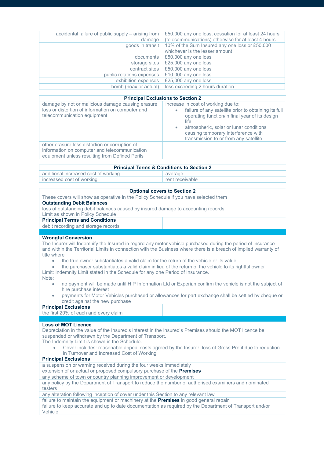| accidental failure of public supply - arising from | £50,000 any one loss, cessation for at least 24 hours |
|----------------------------------------------------|-------------------------------------------------------|
| damage                                             | (telecommunications) otherwise for at least 4 hours   |
| goods in transit                                   | 10% of the Sum Insured any one loss or £50,000        |
|                                                    | whichever is the lesser amount                        |
| documents                                          | £50,000 any one loss                                  |
| storage sites                                      | £25,000 any one loss                                  |
| contract sites                                     | £50,000 any one loss                                  |
| public relations expenses                          | £10,000 any one loss                                  |
| exhibition expenses                                | £25,000 any one loss                                  |
| bomb (hoax or actual)                              | loss exceeding 2 hours duration                       |
|                                                    |                                                       |
| <b>Principal Exclusions to Section 2</b>           |                                                       |

## **Principal Exclusions to Section 2**

| damage by riot or malicious damage causing erasure<br>loss or distortion of information on computer and<br>telecommunication equipment            | increase in cost of working due to:<br>failure of any satellite prior to obtaining its full<br>$\bullet$<br>operating function/in final year of its design<br>life<br>atmospheric, solar or lunar conditions<br>$\bullet$<br>causing temporary interference with<br>transmission to or from any satellite |
|---------------------------------------------------------------------------------------------------------------------------------------------------|-----------------------------------------------------------------------------------------------------------------------------------------------------------------------------------------------------------------------------------------------------------------------------------------------------------|
| other erasure loss distortion or corruption of<br>information on computer and telecommunication<br>equipment unless resulting from Defined Perils |                                                                                                                                                                                                                                                                                                           |

| <b>Principal Terms &amp; Conditions to Section 2</b> |                 |  |
|------------------------------------------------------|-----------------|--|
| additional increased cost of working                 | average         |  |
| increased cost of working                            | rent receivable |  |

| <b>Optional covers to Section 2</b>                                                                                                                                                                                                                                                                                                                                                                                                                                                                                                                                                                                                                                                                                                                                                                                                                                                         |  |  |
|---------------------------------------------------------------------------------------------------------------------------------------------------------------------------------------------------------------------------------------------------------------------------------------------------------------------------------------------------------------------------------------------------------------------------------------------------------------------------------------------------------------------------------------------------------------------------------------------------------------------------------------------------------------------------------------------------------------------------------------------------------------------------------------------------------------------------------------------------------------------------------------------|--|--|
| These covers will show as operative in the Policy Schedule if you have selected them                                                                                                                                                                                                                                                                                                                                                                                                                                                                                                                                                                                                                                                                                                                                                                                                        |  |  |
| <b>Outstanding Debit Balances</b>                                                                                                                                                                                                                                                                                                                                                                                                                                                                                                                                                                                                                                                                                                                                                                                                                                                           |  |  |
| loss of outstanding debit balances caused by insured damage to accounting records                                                                                                                                                                                                                                                                                                                                                                                                                                                                                                                                                                                                                                                                                                                                                                                                           |  |  |
| Limit as shown in Policy Schedule                                                                                                                                                                                                                                                                                                                                                                                                                                                                                                                                                                                                                                                                                                                                                                                                                                                           |  |  |
| <b>Principal Terms and Conditions</b>                                                                                                                                                                                                                                                                                                                                                                                                                                                                                                                                                                                                                                                                                                                                                                                                                                                       |  |  |
| debit recording and storage records                                                                                                                                                                                                                                                                                                                                                                                                                                                                                                                                                                                                                                                                                                                                                                                                                                                         |  |  |
|                                                                                                                                                                                                                                                                                                                                                                                                                                                                                                                                                                                                                                                                                                                                                                                                                                                                                             |  |  |
| <b>Wrongful Conversion</b><br>The Insurer will Indemnify the Insured in regard any motor vehicle purchased during the period of insurance<br>and within the Territorial Limits in connection with the Business where there is a breach of implied warranty of<br>title where<br>the true owner substantiates a valid claim for the return of the vehicle or its value<br>$\bullet$<br>the purchaser substantiates a valid claim in lieu of the return of the vehicle to its rightful owner<br>۰<br>Limit: Indemnity Limit stated in the Schedule for any one Period of Insurance.<br>Note:<br>no payment will be made until H P Information Ltd or Experian confirm the vehicle is not the subject of<br>۰<br>hire purchase interest<br>payments for Motor Vehicles purchased or allowances for part exchange shall be settled by cheque or<br>$\bullet$<br>credit against the new purchase |  |  |
| <b>Principal Exclusions</b>                                                                                                                                                                                                                                                                                                                                                                                                                                                                                                                                                                                                                                                                                                                                                                                                                                                                 |  |  |
| the first 20% of each and every claim                                                                                                                                                                                                                                                                                                                                                                                                                                                                                                                                                                                                                                                                                                                                                                                                                                                       |  |  |
|                                                                                                                                                                                                                                                                                                                                                                                                                                                                                                                                                                                                                                                                                                                                                                                                                                                                                             |  |  |
| <b>Loss of MOT Licence</b><br>Depreciation in the value of the Insured's interest in the Insured's Premises should the MOT licence be<br>suspended or withdrawn by the Department of Transport.<br>The Indemnity Limit is shown in the Schedule.<br>Cover includes: reasonable appeal costs agreed by the Insurer, loss of Gross Profit due to reduction<br>$\bullet$<br>in Turnover and Increased Cost of Working                                                                                                                                                                                                                                                                                                                                                                                                                                                                          |  |  |
| <b>Principal Exclusions</b>                                                                                                                                                                                                                                                                                                                                                                                                                                                                                                                                                                                                                                                                                                                                                                                                                                                                 |  |  |
| a suspension or warning received during the four weeks immediately                                                                                                                                                                                                                                                                                                                                                                                                                                                                                                                                                                                                                                                                                                                                                                                                                          |  |  |
| extension of or actual or proposed compulsory purchase of the Premises                                                                                                                                                                                                                                                                                                                                                                                                                                                                                                                                                                                                                                                                                                                                                                                                                      |  |  |
| any scheme of town or country planning improvement or development                                                                                                                                                                                                                                                                                                                                                                                                                                                                                                                                                                                                                                                                                                                                                                                                                           |  |  |
| any policy by the Department of Transport to reduce the number of authorised examiners and nominated<br>testers                                                                                                                                                                                                                                                                                                                                                                                                                                                                                                                                                                                                                                                                                                                                                                             |  |  |
| any alteration following inception of cover under this Section to any relevant law                                                                                                                                                                                                                                                                                                                                                                                                                                                                                                                                                                                                                                                                                                                                                                                                          |  |  |
| failure to maintain the equipment or machinery at the <b>Premises</b> in good general repair                                                                                                                                                                                                                                                                                                                                                                                                                                                                                                                                                                                                                                                                                                                                                                                                |  |  |

failure to keep accurate and up to date documentation as required by the Department of Transport and/or Vehicle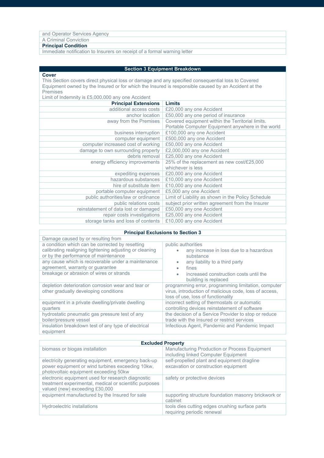| and Operator Services Agency                                            |  |
|-------------------------------------------------------------------------|--|
| A Criminal Conviction                                                   |  |
| <b>Principal Condition</b>                                              |  |
| Immodiate netification to Incurso on resolut of a fermal warning letter |  |

| Immediate notification to Insurers on receipt of a formal warning letter |  |  |
|--------------------------------------------------------------------------|--|--|
|--------------------------------------------------------------------------|--|--|

| <b>Section 3 Equipment Breakdown</b>                                                                |  |
|-----------------------------------------------------------------------------------------------------|--|
|                                                                                                     |  |
| This Section covers direct physical loss or damage and any specified consequential loss to Covered  |  |
| Equipment owned by the Insured or for which the Insured is responsible caused by an Accident at the |  |
|                                                                                                     |  |
|                                                                                                     |  |
| <b>Limits</b>                                                                                       |  |
| £20,000 any one Accident                                                                            |  |
| £50,000 any one period of insurance                                                                 |  |
| Covered equipment within the Territorial limits.                                                    |  |
| Portable Computer Equipment anywhere in the world                                                   |  |
| £100,000 any one Accident                                                                           |  |
| £500,000 any one Accident                                                                           |  |
| £50,000 any one Accident                                                                            |  |
| £2,000,000 any one Accident                                                                         |  |
| £25,000 any one Accident                                                                            |  |
| 25% of the replacement as new cost/£25,000                                                          |  |
| whichever is less                                                                                   |  |
| £20,000 any one Accident                                                                            |  |
| £10,000 any one Accident                                                                            |  |
| £10,000 any one Accident                                                                            |  |
| £5,000 any one Accident                                                                             |  |
| Limit of Liability as shown in the Policy Schedule                                                  |  |
| subject prior written agreement from the Insurer                                                    |  |
| £50,000 any one Accident                                                                            |  |
| £25,000 any one Accident                                                                            |  |
| £10,000 any one Accident                                                                            |  |
|                                                                                                     |  |

|  | <b>Principal Exclusions to Section 3</b> |  |  |
|--|------------------------------------------|--|--|
|--|------------------------------------------|--|--|

| Damage caused by or resulting from                                                                                                                 |                                                                                                                                                     |
|----------------------------------------------------------------------------------------------------------------------------------------------------|-----------------------------------------------------------------------------------------------------------------------------------------------------|
| a condition which can be corrected by resetting<br>calibrating realigning tightening adjusting or cleaning<br>or by the performance of maintenance | public authorities<br>any increase in loss due to a hazardous<br>substance                                                                          |
| any cause which is recoverable under a maintenance<br>agreement, warranty or guarantee                                                             | any liability to a third party<br>$\bullet$<br>fines<br>۰                                                                                           |
| breakage or abrasion of wires or strands                                                                                                           | increased construction costs until the<br>$\bullet$<br>building is replaced                                                                         |
| depletion deterioration corrosion wear and tear or<br>other gradually developing conditions                                                        | programming error, programming limitation, computer<br>virus, introduction of malicious code, loss of access,<br>loss of use, loss of functionality |
| equipment in a private dwelling/private dwelling<br>quarters                                                                                       | incorrect setting of thermostats or automatic<br>controlling devices reinstatement of software                                                      |
| hydrostatic pneumatic gas pressure test of any                                                                                                     | the decision of a Service Provider to stop or reduce                                                                                                |
| boiler/pressure vessel                                                                                                                             | trade with the Insured or restrict services                                                                                                         |
| insulation breakdown test of any type of electrical<br>equipment                                                                                   | Infectious Agent, Pandemic and Pandemic Impact                                                                                                      |

| <b>Excluded Property</b>                                                                                                                         |                                                                                      |  |
|--------------------------------------------------------------------------------------------------------------------------------------------------|--------------------------------------------------------------------------------------|--|
| biomass or biogas installation                                                                                                                   | Manufacturing Production or Process Equipment<br>including linked Computer Equipment |  |
| electricity generating equipment, emergency back-up<br>power equipment or wind turbines exceeding 10kw,<br>photovoltaic equipment exceeding 50kw | self-propelled plant and equipment dragline<br>excavation or construction equipment  |  |
| electronic equipment used for research diagnostic<br>treatment experimental, medical or scientific purposes<br>valued (new) exceeding £30,000    | safety or protective devices                                                         |  |
| equipment manufactured by the Insured for sale                                                                                                   | supporting structure foundation masonry brickwork or<br>cabinet                      |  |
| Hydroelectric installations                                                                                                                      | tools dies cutting edges crushing surface parts<br>requiring periodic renewal        |  |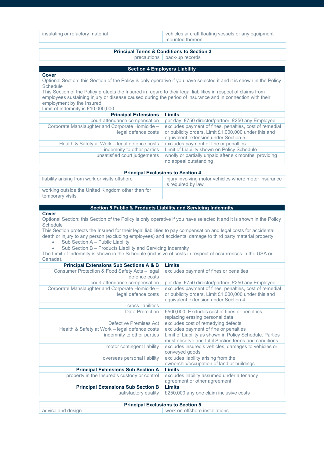| insulating or refactory material | vehicles aircraft floating vessels or any equipment |
|----------------------------------|-----------------------------------------------------|
|                                  | mounted thereon                                     |

#### **Principal Terms & Conditions to Section 3**

precautions back-up records

#### **Section 4 Employers Liability**

**Cover**

Optional Section: this Section of the Policy is only operative if you have selected it and it is shown in the Policy **Schedule** 

This Section of the Policy protects the Insured in regard to their legal liabilities in respect of claims from employees sustaining injury or disease caused during the period of insurance and in connection with their employment by the Insured.

Limit of Indemnity is £10,000,000

| <b>Principal Extensions</b>                                            | Limits                                                                                                                                                 |
|------------------------------------------------------------------------|--------------------------------------------------------------------------------------------------------------------------------------------------------|
| court attendance compensation                                          | per day: £750 director/partner, £250 any Employee                                                                                                      |
| Corporate Manslaughter and Corporate Homicide -<br>legal defence costs | excludes payment of fines, penalties, cost of remedial<br>or publicity orders. Limit £1,000,000 under this and<br>equivalent extension under Section 5 |
| Health & Safety at Work – legal defence costs                          | excludes payment of fine or penalties                                                                                                                  |
| indemnity to other parties                                             | Limit of Liability shown on Policy Schedule                                                                                                            |
| unsatisfied court judgements                                           | wholly or partially unpaid after six months, providing<br>no appeal outstanding                                                                        |
|                                                                        |                                                                                                                                                        |

## **Principal Exclusions to Section 4**

| liability arising from work or visits offshore                        | injury involving motor vehicles where motor insurance<br>is required by law |
|-----------------------------------------------------------------------|-----------------------------------------------------------------------------|
| working outside the United Kingdom other than for<br>temporary visits |                                                                             |

#### **Section 5 Public & Products Liability and Servicing Indemnity**

#### **Cover**

Optional Section: this Section of the Policy is only operative if you have selected it and it is shown in the Policy Schedule

This Section protects the Insured for their legal liabilities to pay compensation and legal costs for accidental death or injury to any person (excluding employees) and accidental damage to third party material property

Sub Section A – Public Liability

Sub Section B - Products Liability and Servicing Indemnity

The Limit of Indemnity is shown in the Schedule (inclusive of costs in respect of occurrences in the USA or Canada).

| <b>Principal Extensions Sub Sections A &amp; B</b>                     | Limits                                                                                                                                                 |
|------------------------------------------------------------------------|--------------------------------------------------------------------------------------------------------------------------------------------------------|
| Consumer Protection & Food Safety Acts - legal<br>defence costs        | excludes payment of fines or penalties                                                                                                                 |
| court attendance compensation                                          | per day: £750 director/partner, £250 any Employee                                                                                                      |
| Corporate Manslaughter and Corporate Homicide -<br>legal defence costs | excludes payment of fines, penalties, cost of remedial<br>or publicity orders. Limit £1,000,000 under this and<br>equivalent extension under Section 4 |
| cross liabilities                                                      |                                                                                                                                                        |
| Data Protection                                                        | £500,000. Excludes cost of fines or penalties,<br>replacing erasing personal data                                                                      |
| Defective Premises Act                                                 | excludes cost of remedying defects                                                                                                                     |
| Health & Safety at Work - legal defence costs                          | excludes payment of fine or penalties                                                                                                                  |
| indemnity to other parties                                             | Limit of Liability as shown in Policy Schedule. Parties<br>must observe and fulfil Section terms and conditions                                        |
| motor contingent liability                                             | excludes insured's vehicles, damages to vehicles or<br>conveyed goods                                                                                  |
| overseas personal liability                                            | excludes liability arising from the<br>ownership/occupation of land or buildings                                                                       |
| <b>Principal Extensions Sub Section A</b>                              | Limits                                                                                                                                                 |
| property in the Insured's custody or control                           | excludes liability assumed under a tenancy<br>agreement or other agreement                                                                             |
| <b>Principal Extensions Sub Section B</b>                              | Limits                                                                                                                                                 |
| satisfactory quality                                                   | £250,000 any one claim inclusive costs                                                                                                                 |
| <b>Princinal Evelusions to Section 5</b>                               |                                                                                                                                                        |

| <b>Principal Exclusions to Section 5</b> |                                |  |
|------------------------------------------|--------------------------------|--|
| advice and design                        | work on offshore installations |  |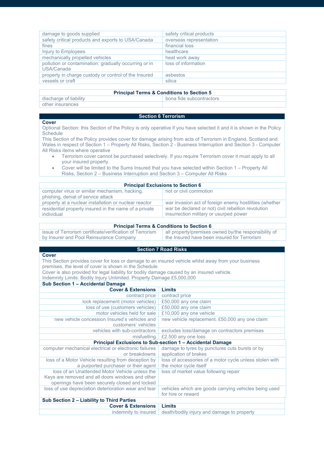| damage to goods supplied                                            | safety critical products |
|---------------------------------------------------------------------|--------------------------|
| safety critical products and exports to USA/Canada                  | overseas representation  |
| fines                                                               | financial loss           |
| Injury to Employees                                                 | healthcare               |
| mechanically propelled vehicles                                     | heat work away           |
| pollution or contamination: gradually occurring or in<br>USA/Canada | loss of information      |
| property in charge custody or control of the Insured                | asbestos                 |
| vessels or craft                                                    | silica                   |
|                                                                     |                          |

#### **Principal Terms & Conditions to Section 5**

| discharge of liability | hona fide subcontractors |
|------------------------|--------------------------|
| other insurances       |                          |
|                        |                          |

## **Section 6 Terrorism**

#### **Cover**

Optional Section: this Section of the Policy is only operative if you have selected it and it is shown in the Policy Schedule

This Section of the Policy provides cover for damage arising from acts of Terrorism in England, Scotland and Wales in respect of Section 1 – Property All Risks, Section 2 - Business Interruption and Section 3 - Computer All Risks items where operative

- Terrorism cover cannot be purchased selectively. If you require Terrorism cover it must apply to all your insured property.
- Cover will be limited to the Sums Insured that you have selected within Section 1 Property All
	- Risks, Section 2 Business Interruption and Section 3 Computer All Risks

| <b>Principal Exclusions to Section 6</b>                                            |                                                                                              |
|-------------------------------------------------------------------------------------|----------------------------------------------------------------------------------------------|
| computer virus or similar mechanism, hacking,<br>phishing, denial of service attack | riot or civil commotion                                                                      |
| property at a nuclear installation or nuclear reactor                               | war invasion act of foreign enemy hostilities (whether                                       |
| residential property insured in the name of a private<br>individual                 | war be declared or not) civil rebellion revolution<br>insurrection military or usurped power |

#### **Principal Terms & Conditions to Section 6**

| issue of Terrorism certificate/verification of Terrorism | all property/premises owned by/the responsibility of |
|----------------------------------------------------------|------------------------------------------------------|
| by Insurer and Pool Reinsurance Company                  | the Insured have been insured for Terrorism          |
|                                                          |                                                      |

## **Section 7 Road Risks**

#### **Cover**

This Section provides cover for loss or damage to an insured vehicle whilst away from your business premises, the level of cover is shown in the Schedule.

Cover is also provided for legal liability for bodily damage caused by an insured vehicle.

Indemnity Limits: Bodily Injury Unlimited. Property Damage £5,000,000

#### **Sub Section 1 – Accidental Damage Cover & Extensions Limits**<br> **CODITENSIONS CONTENSISTED**<br> **CONTENSISTED**<br> **CONTENSISTED** contract price lock replacement (motor vehicles) £50,000 any one claim  $loss of use (customers vehicles)$ motor vehicles held for sale  $\sqrt{210,000}$  any one vehicle new vehicle concession Insured's vehicles and customers' vehicles<br>vehicles with sub-contractors new vehicle replacement. £50,000 any one claim excludes loss/damage on contractors premises misfuelling £2.500 any one loss **Principal Exclusions to Sub-section 1 – Accidental Damage** computer mechanical electrical or electronic failures or breakdowns damage to tyres by punctures cuts bursts or by application of brakes loss of a Motor Vehicle resulting from deception by a purported purchaser or their agent loss of accessories of a motor cycle unless stolen with the motor cycle itself loss of an Unattended Motor Vehicle unless the Keys are removed and all doors windows and other openings have been securely closed and locked loss of market value following repair loss of use depreciation deterioration wear and tear vehicles which are goods carrying vehicles being used for hire or reward **Sub Section 2 – Liability to Third Parties Cover & Extensions Limits** indemnity to insured death/bodily injury and damage to property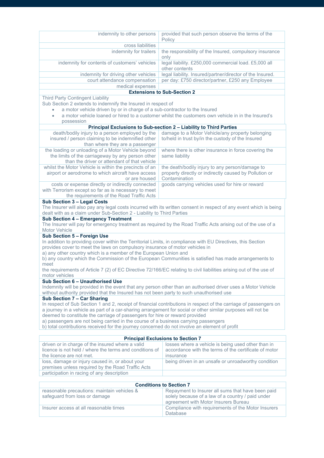| indemnity to other persons                                                                                          | provided that such person observe the terms of the                                                                 |  |
|---------------------------------------------------------------------------------------------------------------------|--------------------------------------------------------------------------------------------------------------------|--|
|                                                                                                                     | Policy                                                                                                             |  |
| cross liabilities                                                                                                   |                                                                                                                    |  |
| indemnity for trailers                                                                                              | the responsibility of the Insured, compulsory insurance                                                            |  |
|                                                                                                                     | only                                                                                                               |  |
| indemnity for contents of customers' vehicles                                                                       | legal liability. £250,000 commercial load. £5,000 all                                                              |  |
|                                                                                                                     | other contents                                                                                                     |  |
| indemnity for driving other vehicles                                                                                | legal liability. Insured/partner/director of the Insured.                                                          |  |
| court attendance compensation                                                                                       | per day: £750 director/partner, £250 any Employee                                                                  |  |
| medical expenses                                                                                                    |                                                                                                                    |  |
|                                                                                                                     | <b>Extensions to Sub-Section 2</b>                                                                                 |  |
|                                                                                                                     |                                                                                                                    |  |
| <b>Third Party Contingent Liability</b>                                                                             |                                                                                                                    |  |
| Sub Section 2 extends to indemnify the Insured in respect of                                                        |                                                                                                                    |  |
| a motor vehicle driven by or in charge of a sub-contractor to the Insured                                           |                                                                                                                    |  |
| $\bullet$                                                                                                           | a motor vehicle loaned or hired to a customer whilst the customers own vehicle in in the Insured's                 |  |
| possession                                                                                                          |                                                                                                                    |  |
|                                                                                                                     | Principal Exclusions to Sub-section 2 - Liability to Third Parties                                                 |  |
| death/bodily injury to a person employed by the                                                                     | damage to a Motor Vehicle/any property belonging                                                                   |  |
| insured / person claiming to be indemnified other                                                                   | to/held in trust by/in the custody of the Insured                                                                  |  |
| than where they are a passenger                                                                                     |                                                                                                                    |  |
| the loading or unloading of a Motor Vehicle beyond                                                                  | where there is other insurance in force covering the                                                               |  |
| the limits of the carriageway by any person other                                                                   | same liability                                                                                                     |  |
| than the driver or attendant of that vehicle                                                                        |                                                                                                                    |  |
| whilst the Motor Vehicle is within the precincts of an                                                              | the death/bodily injury to any person/damage to                                                                    |  |
| airport or aerodrome to which aircraft have access                                                                  | property directly or indirectly caused by Pollution or                                                             |  |
| or are housed                                                                                                       | Contamination                                                                                                      |  |
| costs or expense directly or indirectly connected                                                                   | goods carrying vehicles used for hire or reward                                                                    |  |
| with Terrorism except so far as is necessary to meet                                                                |                                                                                                                    |  |
| the requirements of the Road Traffic Acts                                                                           |                                                                                                                    |  |
| Sub Section 3 - Legal Costs                                                                                         |                                                                                                                    |  |
|                                                                                                                     | The Insurer will also pay any legal costs incurred with its written consent in respect of any event which is being |  |
| dealt with as a claim under Sub-Section 2 - Liability to Third Parties                                              |                                                                                                                    |  |
|                                                                                                                     |                                                                                                                    |  |
| Sub Section 4 - Emergency Treatment                                                                                 | The Insurer will pay for emergency treatment as required by the Road Traffic Acts arising out of the use of a      |  |
|                                                                                                                     |                                                                                                                    |  |
| Motor Vehicle                                                                                                       |                                                                                                                    |  |
| Sub Section 5 - Foreign Use                                                                                         |                                                                                                                    |  |
| In addition to providing cover within the Territorial Limits, in compliance with EU Directives, this Section        |                                                                                                                    |  |
| provides cover to meet the laws on compulsory insurance of motor vehicles in                                        |                                                                                                                    |  |
| a) any other country which is a member of the European Union and                                                    |                                                                                                                    |  |
|                                                                                                                     |                                                                                                                    |  |
|                                                                                                                     | b) any country which the Commission of the European Communities is satisfied has made arrangements to              |  |
| meet                                                                                                                |                                                                                                                    |  |
| the requirements of Article 7 (2) of EC Directive 72/166/EC relating to civil liabilities arising out of the use of |                                                                                                                    |  |
| motor vehicles                                                                                                      |                                                                                                                    |  |
| Sub Section 6 - Unauthorised Use                                                                                    |                                                                                                                    |  |
|                                                                                                                     | Indemnity will be provided in the event that any person other than an authorised driver uses a Motor Vehicle       |  |
| without authority provided that the Insured has not been party to such unauthorised use                             |                                                                                                                    |  |
| Sub Section 7 - Car Sharing                                                                                         |                                                                                                                    |  |
|                                                                                                                     | In respect of Sub Section 1 and 2, receipt of financial contributions in respect of the carriage of passengers on  |  |
| a journey in a vehicle as part of a car-sharing arrangement for social or other similar purposes will not be        |                                                                                                                    |  |
| deemed to constitute the carriage of passengers for hire or reward provided                                         |                                                                                                                    |  |
| a) passengers are not being carried in the course of a business carrying passengers                                 |                                                                                                                    |  |
| b) total contributions received for the journey concerned do not involve an element of profit                       |                                                                                                                    |  |
|                                                                                                                     |                                                                                                                    |  |
|                                                                                                                     | <b>Principal Exclusions to Section 7</b>                                                                           |  |
|                                                                                                                     |                                                                                                                    |  |
| driven or in charge of the insured where a valid<br>licence is not held / where the terms and conditions of         | losses where a vehicle is being used other than in<br>accordance with the terms of the certificate of motor        |  |
| the licence are not met.                                                                                            | insurance                                                                                                          |  |
|                                                                                                                     |                                                                                                                    |  |
| loss, damage or injury caused in, or about your                                                                     | being driven in an unsafe or unroadworthy condition                                                                |  |
| premises unless required by the Road Traffic Acts                                                                   |                                                                                                                    |  |
| participation in racing of any description                                                                          |                                                                                                                    |  |
|                                                                                                                     |                                                                                                                    |  |
|                                                                                                                     | <b>Conditions to Section 7</b>                                                                                     |  |
| reasonable precautions: maintain vehicles &                                                                         | Repayment to Insurer all sums that have been paid                                                                  |  |
| safeguard from loss or damage                                                                                       | solely because of a law of a country / paid under                                                                  |  |
| Insurer access at all reasonable times                                                                              | agreement with Motor Insurers Bureau<br>Compliance with requirements of the Motor Insurers                         |  |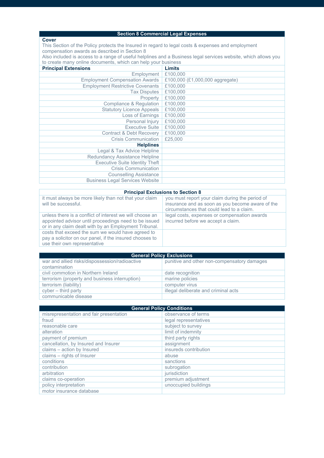## **Section 8 Commercial Legal Expenses**

#### **Cover**

This Section of the Policy protects the Insured in regard to legal costs & expenses and employment compensation awards as described in Section 8

Also included is access to a range of useful helplines and a Business legal services website, which allows you to create many online documents, which can help your business

| <b>Principal Extensions</b>             | Limits                          |
|-----------------------------------------|---------------------------------|
| Employment                              | £100,000                        |
| <b>Employment Compensation Awards</b>   | £100,000 (£1,000,000 aggregate) |
| <b>Employment Restrictive Covenants</b> | £100,000                        |
| <b>Tax Disputes</b>                     | £100,000                        |
| Property                                | £100,000                        |
| Compliance & Regulation                 | £100,000                        |
| <b>Statutory Licence Appeals</b>        | £100,000                        |
| Loss of Earnings                        | £100,000                        |
| Personal Injury                         | £100,000                        |
| <b>Executive Suite</b>                  | £100,000                        |
| <b>Contract &amp; Debt Recovery</b>     | £100,000                        |
| <b>Crisis Communication</b>             | £25,000                         |
| <b>Helplines</b>                        |                                 |
| Legal & Tax Advice Helpline             |                                 |
| Redundancy Assistance Helpline          |                                 |
| <b>Executive Suite Identity Theft</b>   |                                 |
| <b>Crisis Communication</b>             |                                 |
| <b>Counselling Assistance</b>           |                                 |
| <b>Business Legal Services Website</b>  |                                 |

#### **Principal Exclusions to Section 8**

it must always be more likely than not that your claim will be successful.

unless there is a conflict of interest we will choose an appointed advisor until proceedings need to be issued or in any claim dealt with by an Employment Tribunal. costs that exceed the sum we would have agreed to pay a solicitor on our panel, if the insured chooses to use their own representative

you must report your claim during the period of insurance and as soon as you become aware of the circumstances that could lead to a claim. legal costs, expenses or compensation awards incurred before we accept a claim.

| <b>General Policy Exclusions</b>               |                                             |  |
|------------------------------------------------|---------------------------------------------|--|
| war and allied risks/dispossession/radioactive | punitive and other non-compensatory damages |  |
| contamination                                  |                                             |  |
| civil commotion in Northern Ireland            | date recognition                            |  |
| terrorism (property and business interruption) | marine policies                             |  |
| terrorism (liability)                          | computer virus                              |  |
| $cyber - third party$                          | illegal deliberate and criminal acts        |  |
| communicable disease                           |                                             |  |

| <b>General Policy Conditions</b>        |                       |
|-----------------------------------------|-----------------------|
| misrepresentation and fair presentation | observance of terms   |
| fraud                                   | legal representatives |
| reasonable care                         | subject to survey     |
| alteration                              | limit of indemnity    |
| payment of premium                      | third party rights    |
| cancellation, by Insured and Insurer    | assignment            |
| claims - action by Insured              | insureds contribution |
| claims - rights of Insurer              | abuse                 |
| conditions                              | sanctions             |
| contribution                            | subrogation           |
| arbitration                             | jurisdiction          |
| claims co-operation                     | premium adjustment    |
| policy interpretation                   | unoccupied buildings  |
| motor insurance database                |                       |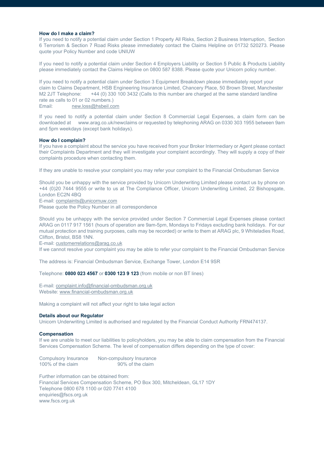#### **How do I make a claim?**

If you need to notify a potential claim under Section 1 Property All Risks, Section 2 Business Interruption, Section 6 Terrorism & Section 7 Road Risks please immediately contact the Claims Helpline on 01732 520273. Please quote your Policy Number and code UNIUW

If you need to notify a potential claim under Section 4 Employers Liability or Section 5 Public & Products Liability please immediately contact the Claims Helpline on 0800 587 8388. Please quote your Unicorn policy number.

If you need to notify a potential claim under Section 3 Equipment Breakdown please immediately report your claim to Claims Department, HSB Engineering Insurance Limited, Chancery Place, 50 Brown Street, Manchester M2 2JT Telephone: +44 (0) 330 100 3432 (Calls to this number are charged at the same standard landline rate as calls to 01 or 02 numbers.)<br>Email: new.loss@hsbeil.co

[new.loss@hsbeil.com](mailto:new.loss@hsbeil.com)

If you need to notify a potential claim under Section 8 Commercial Legal Expenses, a claim form can be downloaded at www.arag.co.uk/newclaims or requested by telephoning ARAG on 0330 303 1955 between 9am and 5pm weekdays (except bank holidays).

#### **How do I complain?**

If you have a complaint about the service you have received from your Broker Intermediary or Agent please contact their Complaints Department and they will investigate your complaint accordingly. They will supply a copy of their complaints procedure when contacting them.

If they are unable to resolve your complaint you may refer your complaint to the Financial Ombudsman Service

Should you be unhappy with the service provided by Unicorn Underwriting Limited please contact us by phone on +44 (0)20 7444 9555 or write to us at The Compliance Officer, Unicorn Underwriting Limited, 22 Bishopsgate, London EC2N 4BQ

E-mail[: complaints@unicornuw.com](mailto:complaints@unicornuw.com)

Please quote the Policy Number in all correspondence

Should you be unhappy with the service provided under Section 7 Commercial Legal Expenses please contact ARAG on 0117 917 1561 (hours of operation are 9am-5pm, Mondays to Fridays excluding bank holidays. For our mutual protection and training purposes, calls may be recorded) or write to them at ARAG plc, 9 Whiteladies Road, Clifton, Bristol, BS8 1NN.

E-mail[: customerrelations@arag.co.uk](mailto:customerrelations@arag.co.uk)

If we cannot resolve your complaint you may be able to refer your complaint to the Financial Ombudsman Service

The address is: Financial Ombudsman Service, Exchange Tower, London E14 9SR

Telephone: **0800 023 4567** or **0300 123 9 123** (from mobile or non BT lines)

E-mail[: complaint.info@financial-ombudsman.org.uk](mailto:complaint.info@financial-ombudsman.org.uk) Website[: www.financial-ombudsman.org.uk](http://www.financial-ombudsman.org.uk/)

Making a complaint will not affect your right to take legal action

#### **Details about our Regulator**

Unicorn Underwriting Limited is authorised and regulated by the Financial Conduct Authority FRN474137.

#### **Compensation**

If we are unable to meet our liabilities to policyholders, you may be able to claim compensation from the Financial Services Compensation Scheme. The level of compensation differs depending on the type of cover:

| Compulsory Insurance | Non-compulsory Insurance |
|----------------------|--------------------------|
| 100% of the claim    | 90% of the claim         |

Further information can be obtained from: Financial Services Compensation Scheme, PO Box 300, Mitcheldean, GL17 1DY Telephone 0800 678 1100 or 020 7741 4100 enquiries@fscs.org.uk www.fscs.org.uk